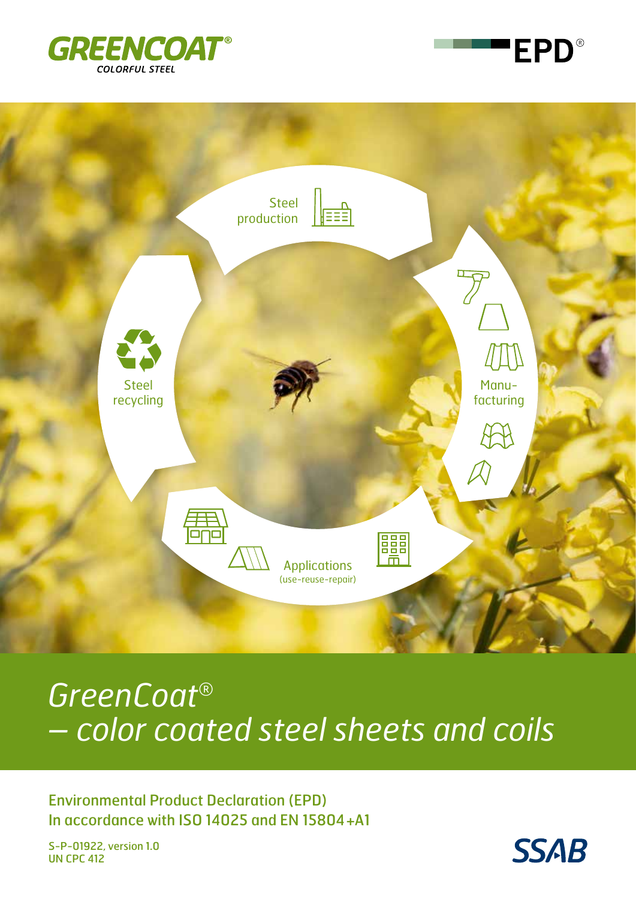





# *GreenCoat® – color coated steel sheets and coils*

Environmental Product Declaration (EPD) In accordance with ISO 14025 and EN 15804+A1

S-P-01922, version 1.0 UN CPC 412

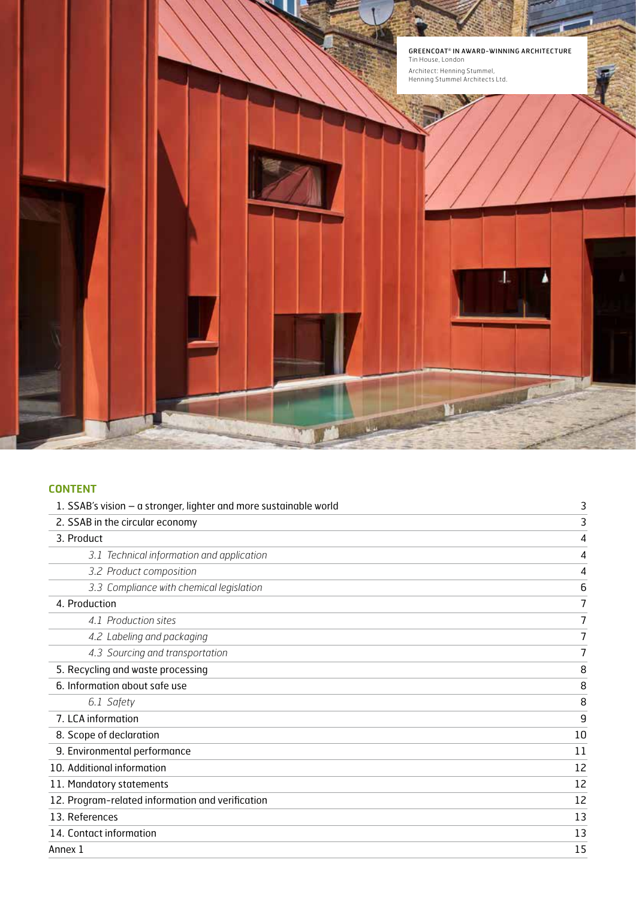

### **CONTENT**

| 1. SSAB's vision - a stronger, lighter and more sustainable world | 3  |
|-------------------------------------------------------------------|----|
| 2. SSAB in the circular economy                                   | 3  |
| 3. Product                                                        | 4  |
| 3.1 Technical information and application                         | 4  |
| 3.2 Product composition                                           | 4  |
| 3.3 Compliance with chemical legislation                          | 6  |
| 4. Production                                                     | 7  |
| 4.1 Production sites                                              | 7  |
| 4.2 Labeling and packaging                                        | 7  |
| 4.3 Sourcing and transportation                                   | 7  |
| 5. Recycling and waste processing                                 | 8  |
| 6. Information about safe use                                     | 8  |
| 6.1 Safety                                                        | 8  |
| 7. LCA information                                                | 9  |
| 8. Scope of declaration                                           | 10 |
| 9. Environmental performance                                      | 11 |
| 10. Additional information                                        | 12 |
| 11. Mandatory statements                                          | 12 |
| 12. Program-related information and verification                  | 12 |
| 13. References                                                    | 13 |
| 14. Contact information                                           | 13 |
| Annex 1                                                           | 15 |
|                                                                   |    |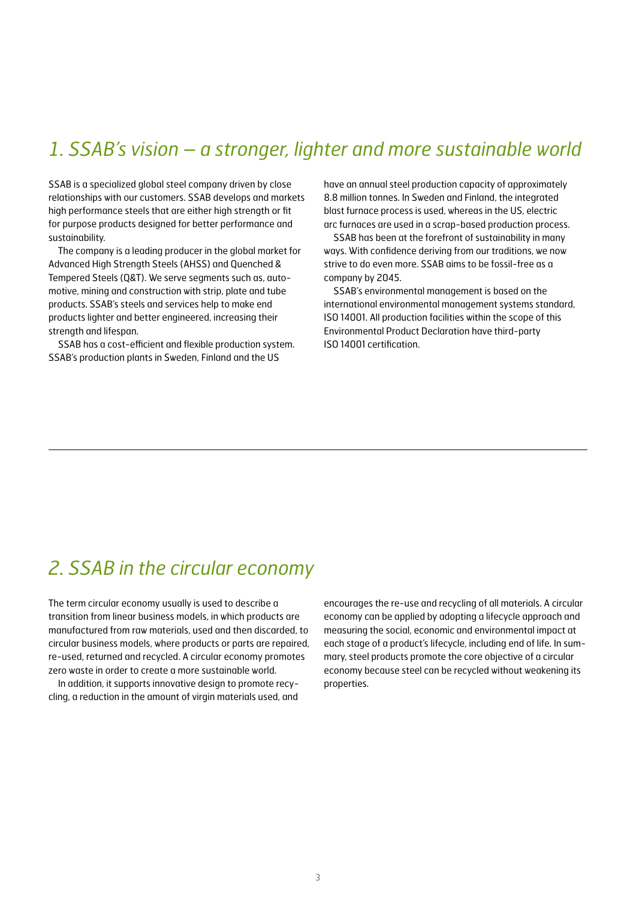# *1. SSAB's vision – a stronger, lighter and more sustainable world*

SSAB is a specialized global steel company driven by close relationships with our customers. SSAB develops and markets high performance steels that are either high strength or fit for purpose products designed for better performance and sustainability.

The company is a leading producer in the global market for Advanced High Strength Steels (AHSS) and Quenched & Tempered Steels (Q&T). We serve segments such as, automotive, mining and construction with strip, plate and tube products. SSAB's steels and services help to make end products lighter and better engineered, increasing their strength and lifespan.

SSAB has a cost-efficient and flexible production system. SSAB's production plants in Sweden, Finland and the US

have an annual steel production capacity of approximately 8.8 million tonnes. In Sweden and Finland, the integrated blast furnace process is used, whereas in the US, electric arc furnaces are used in a scrap-based production process.

SSAB has been at the forefront of sustainability in many ways. With confidence deriving from our traditions, we now strive to do even more. SSAB aims to be fossil-free as a company by 2045.

SSAB's environmental management is based on the international environmental management systems standard, ISO 14001. All production facilities within the scope of this Environmental Product Declaration have third-party ISO 14001 certification.

# *2. SSAB in the circular economy*

The term circular economy usually is used to describe a transition from linear business models, in which products are manufactured from raw materials, used and then discarded, to circular business models, where products or parts are repaired, re-used, returned and recycled. A circular economy promotes zero waste in order to create a more sustainable world.

In addition, it supports innovative design to promote recycling, a reduction in the amount of virgin materials used, and

encourages the re-use and recycling of all materials. A circular economy can be applied by adopting a lifecycle approach and measuring the social, economic and environmental impact at each stage of a product's lifecycle, including end of life. In summary, steel products promote the core objective of a circular economy because steel can be recycled without weakening its properties.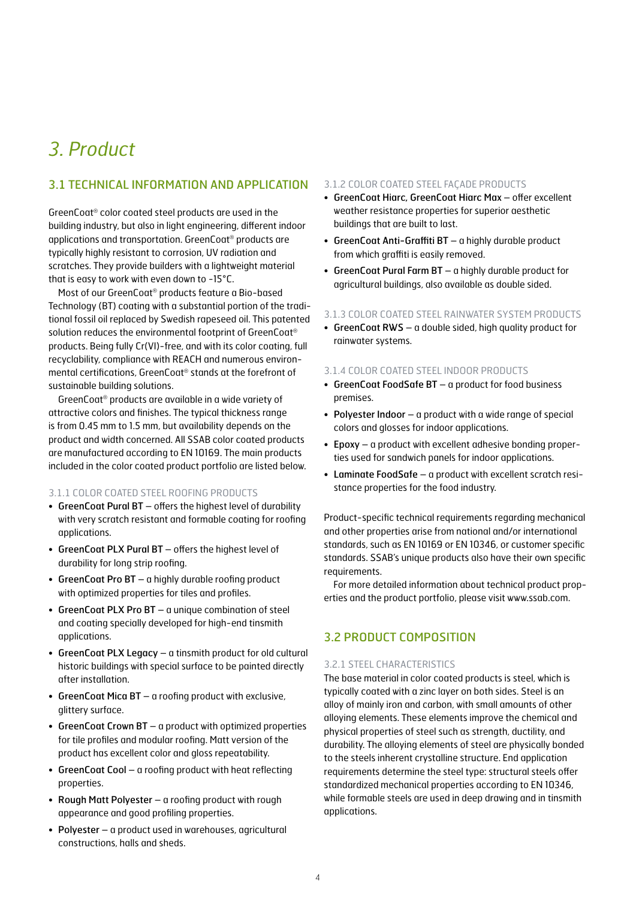# *3. Product*

### 3.1 TECHNICAL INFORMATION AND APPLICATION

GreenCoat® color coated steel products are used in the building industry, but also in light engineering, different indoor applications and transportation. GreenCoat® products are typically highly resistant to corrosion, UV radiation and scratches. They provide builders with a lightweight material that is easy to work with even down to -15°C.

Most of our GreenCoat® products feature a Bio-based Technology (BT) coating with a substantial portion of the traditional fossil oil replaced by Swedish rapeseed oil. This patented solution reduces the environmental footprint of GreenCoat® products. Being fully Cr(VI)-free, and with its color coating, full recyclability, compliance with REACH and numerous environmental certifications, GreenCoat® stands at the forefront of sustainable building solutions.

GreenCoat® products are available in a wide variety of attractive colors and finishes. The typical thickness range is from 0.45 mm to 1.5 mm, but availability depends on the product and width concerned. All SSAB color coated products are manufactured according to EN 10169. The main products included in the color coated product portfolio are listed below.

### 3.1.1 COLOR COATED STEEL ROOFING PRODUCTS

- GreenCoat Pural BT offers the highest level of durability with very scratch resistant and formable coating for roofing applications.
- GreenCoat PLX Pural BT offers the highest level of durability for long strip roofing.
- GreenCoat Pro BT a highly durable roofing product with optimized properties for tiles and profiles.
- GreenCoat PLX Pro BT a unique combination of steel and coating specially developed for high-end tinsmith applications.
- GreenCoat PLX Legacy a tinsmith product for old cultural historic buildings with special surface to be painted directly after installation.
- GreenCoat Mica BT a roofing product with exclusive, glittery surface.
- GreenCoat Crown BT a product with optimized properties for tile profiles and modular roofing. Matt version of the product has excellent color and gloss repeatability.
- GreenCoat Cool a roofing product with heat reflecting properties.
- Rough Matt Polyester a roofing product with rough appearance and good profiling properties.
- Polyester a product used in warehouses, agricultural constructions, halls and sheds.

### 3.1.2 COLOR COATED STEEL FAÇADE PRODUCTS

- GreenCoat Hiarc, GreenCoat Hiarc Max offer excellent weather resistance properties for superior aesthetic buildings that are built to last.
- GreenCoat Anti-Graffiti BT a highly durable product from which graffiti is easily removed.
- GreenCoat Pural Farm BT a highly durable product for agricultural buildings, also available as double sided.

#### 3.1.3 COLOR COATED STEEL RAINWATER SYSTEM PRODUCTS

• GreenCoat RWS – a double sided, high quality product for rainwater systems.

### 3.1.4 COLOR COATED STEEL INDOOR PRODUCTS

- GreenCoat FoodSafe BT a product for food business premises.
- Polyester Indoor a product with a wide range of special colors and glosses for indoor applications.
- Epoxy a product with excellent adhesive bonding properties used for sandwich panels for indoor applications.
- Laminate FoodSafe a product with excellent scratch resistance properties for the food industry.

Product-specific technical requirements regarding mechanical and other properties arise from national and/or international standards, such as EN 10169 or EN 10346, or customer specific standards. SSAB's unique products also have their own specific requirements.

For more detailed information about technical product properties and the product portfolio, please visit www.ssab.com.

### 3.2 PRODUCT COMPOSITION

#### 3.2.1 STEEL CHARACTERISTICS

The base material in color coated products is steel, which is typically coated with a zinc layer on both sides. Steel is an alloy of mainly iron and carbon, with small amounts of other alloying elements. These elements improve the chemical and physical properties of steel such as strength, ductility, and durability. The alloying elements of steel are physically bonded to the steels inherent crystalline structure. End application requirements determine the steel type: structural steels offer standardized mechanical properties according to EN 10346, while formable steels are used in deep drawing and in tinsmith applications.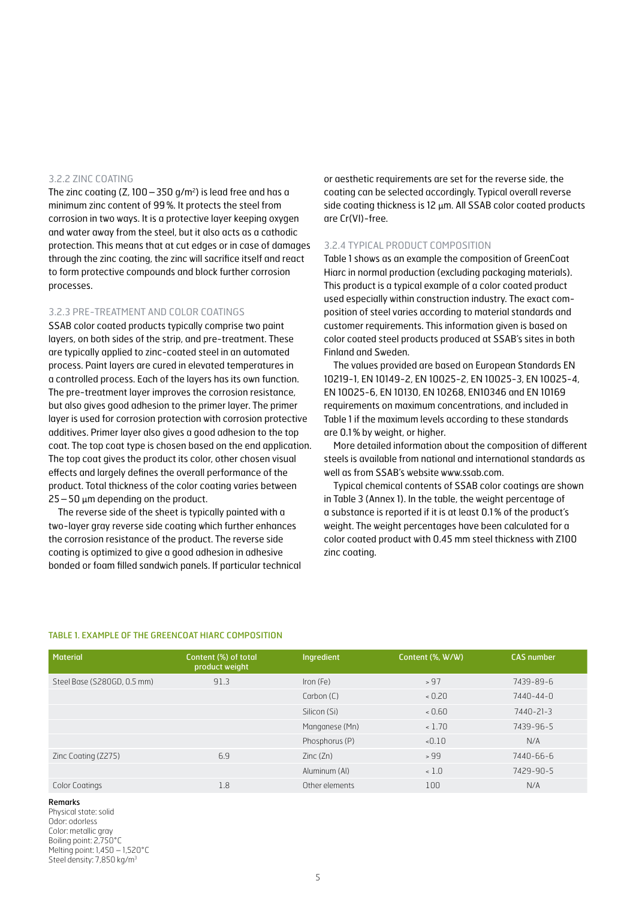#### 3.2.2 ZINC COATING

The zinc coating (Z,  $100-350$  g/m<sup>2</sup>) is lead free and has a minimum zinc content of 99%. It protects the steel from corrosion in two ways. It is a protective layer keeping oxygen and water away from the steel, but it also acts as a cathodic protection. This means that at cut edges or in case of damages through the zinc coating, the zinc will sacrifice itself and react to form protective compounds and block further corrosion processes.

### 3.2.3 PRE-TREATMENT AND COLOR COATINGS

SSAB color coated products typically comprise two paint layers, on both sides of the strip, and pre-treatment. These are typically applied to zinc-coated steel in an automated process. Paint layers are cured in elevated temperatures in a controlled process. Each of the layers has its own function. The pre-treatment layer improves the corrosion resistance, but also gives good adhesion to the primer layer. The primer layer is used for corrosion protection with corrosion protective additives. Primer layer also gives a good adhesion to the top coat. The top coat type is chosen based on the end application. The top coat gives the product its color, other chosen visual effects and largely defines the overall performance of the product. Total thickness of the color coating varies between  $25-50$   $\mu$ m depending on the product.

The reverse side of the sheet is typically painted with a two-layer gray reverse side coating which further enhances the corrosion resistance of the product. The reverse side coating is optimized to give a good adhesion in adhesive bonded or foam filled sandwich panels. If particular technical

or aesthetic requirements are set for the reverse side, the coating can be selected accordingly. Typical overall reverse side coating thickness is 12 µm. All SSAB color coated products are Cr(VI)-free.

#### 3.2.4 TYPICAL PRODUCT COMPOSITION

Table 1 shows as an example the composition of GreenCoat Hiarc in normal production (excluding packaging materials). This product is a typical example of a color coated product used especially within construction industry. The exact composition of steel varies according to material standards and customer requirements. This information given is based on color coated steel products produced at SSAB's sites in both Finland and Sweden.

The values provided are based on European Standards EN 10219-1, EN 10149-2, EN 10025-2, EN 10025-3, EN 10025-4, EN 10025-6, EN 10130, EN 10268, EN10346 and EN 10169 requirements on maximum concentrations, and included in Table 1 if the maximum levels according to these standards are 0.1% by weight, or higher.

More detailed information about the composition of different steels is available from national and international standards as well as from SSAB's website www.ssab.com.

Typical chemical contents of SSAB color coatings are shown in Table 3 (Annex 1). In the table, the weight percentage of a substance is reported if it is at least 0.1% of the product's weight. The weight percentages have been calculated for a color coated product with 0.45 mm steel thickness with Z100 zinc coating.

### TABLE 1. EXAMPLE OF THE GREENCOAT HIARC COMPOSITION

| Material                    | Content (%) of total<br>product weight | Ingredient     | Content (%, W/W) | <b>CAS number</b> |
|-----------------------------|----------------------------------------|----------------|------------------|-------------------|
| Steel Base (S280GD, 0.5 mm) | 91.3                                   | Iron (Fe)      | > 97             | 7439-89-6         |
|                             |                                        | Carbon (C)     | 0.20             | 7440-44-0         |
|                             |                                        | Silicon (Si)   | 0.60             | 7440-21-3         |
|                             |                                        | Manganese (Mn) | 1.70             | 7439-96-5         |
|                             |                                        | Phosphorus (P) | $-0.10$          | N/A               |
| Zinc Coating (Z275)         | 6.9                                    | Zinc(Zn)       | >99              | 7440-66-6         |
|                             |                                        | Aluminum (AI)  | 1.0              | 7429-90-5         |
| Color Coatings              | 1.8                                    | Other elements | 100              | N/A               |

#### Remarks

Physical state: solid Odor: odorless Color: metallic arav Boiling point: 2,750°C Melting point: 1,450 – 1,520°C Steel density: 7,850 kg/m<sup>3</sup>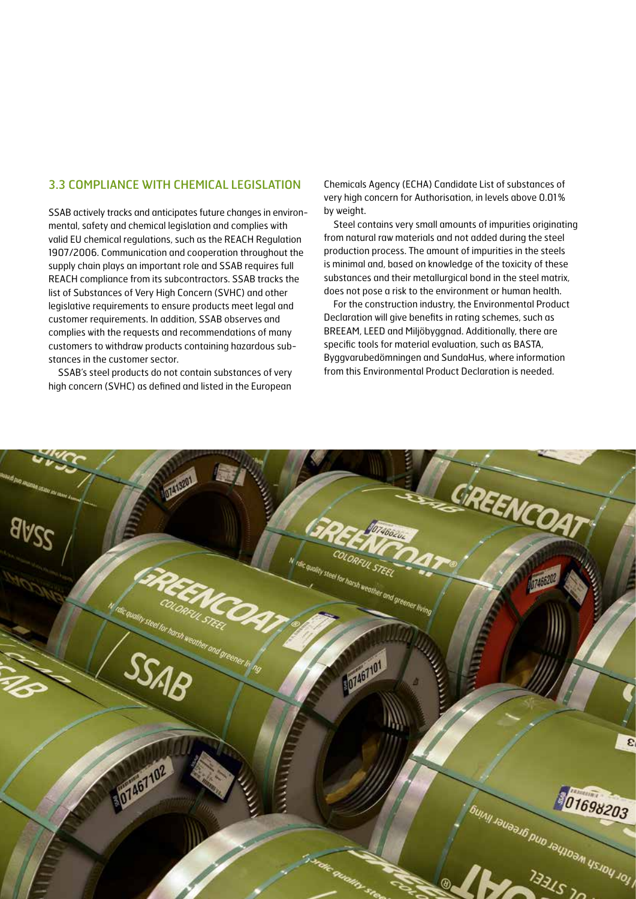### 3.3 COMPLIANCE WITH CHEMICAL LEGISLATION

SSAB actively tracks and anticipates future changes in environmental, safety and chemical legislation and complies with valid EU chemical regulations, such as the REACH Regulation 1907/2006. Communication and cooperation throughout the supply chain plays an important role and SSAB requires full REACH compliance from its subcontractors. SSAB tracks the list of Substances of Very High Concern (SVHC) and other legislative requirements to ensure products meet legal and customer requirements. In addition, SSAB observes and complies with the requests and recommendations of many customers to withdraw products containing hazardous substances in the customer sector.

SSAB's steel products do not contain substances of very high concern (SVHC) as defined and listed in the European

Chemicals Agency (ECHA) Candidate List of substances of very high concern for Authorisation, in levels above 0.01% by weight.

Steel contains very small amounts of impurities originating from natural raw materials and not added during the steel production process. The amount of impurities in the steels is minimal and, based on knowledge of the toxicity of these substances and their metallurgical bond in the steel matrix, does not pose a risk to the environment or human health.

For the construction industry, the Environmental Product Declaration will give benefits in rating schemes, such as BREEAM, LEED and Miljöbyggnad. Additionally, there are specific tools for material evaluation, such as BASTA, Byggvarubedömningen and SundaHus, where information from this Environmental Product Declaration is needed.

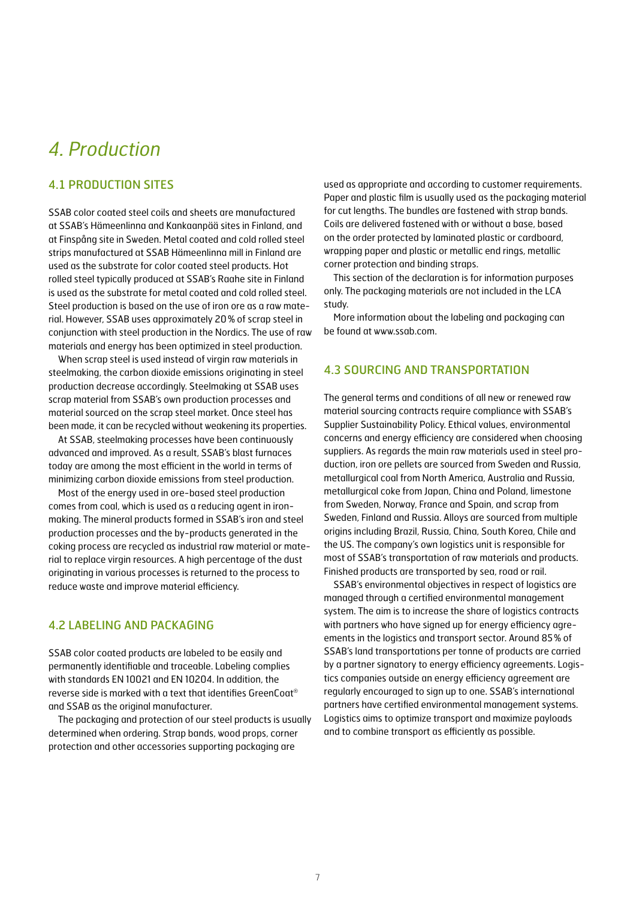# *4. Production*

### 4.1 PRODUCTION SITES

SSAB color coated steel coils and sheets are manufactured at SSAB's Hämeenlinna and Kankaanpää sites in Finland, and at Finspång site in Sweden. Metal coated and cold rolled steel strips manufactured at SSAB Hämeenlinna mill in Finland are used as the substrate for color coated steel products. Hot rolled steel typically produced at SSAB's Raahe site in Finland is used as the substrate for metal coated and cold rolled steel. Steel production is based on the use of iron ore as a raw material. However, SSAB uses approximately 20% of scrap steel in conjunction with steel production in the Nordics. The use of raw materials and energy has been optimized in steel production.

When scrap steel is used instead of virgin raw materials in steelmaking, the carbon dioxide emissions originating in steel production decrease accordingly. Steelmaking at SSAB uses scrap material from SSAB's own production processes and material sourced on the scrap steel market. Once steel has been made, it can be recycled without weakening its properties.

At SSAB, steelmaking processes have been continuously advanced and improved. As a result, SSAB's blast furnaces today are among the most efficient in the world in terms of minimizing carbon dioxide emissions from steel production.

Most of the energy used in ore-based steel production comes from coal, which is used as a reducing agent in ironmaking. The mineral products formed in SSAB's iron and steel production processes and the by-products generated in the coking process are recycled as industrial raw material or material to replace virgin resources. A high percentage of the dust originating in various processes is returned to the process to reduce waste and improve material efficiency.

## 4.2 LABELING AND PACKAGING

SSAB color coated products are labeled to be easily and permanently identifiable and traceable. Labeling complies with standards EN 10021 and EN 10204. In addition, the reverse side is marked with a text that identifies GreenCoat® and SSAB as the original manufacturer.

The packaging and protection of our steel products is usually determined when ordering. Strap bands, wood props, corner protection and other accessories supporting packaging are

used as appropriate and according to customer requirements. Paper and plastic film is usually used as the packaging material for cut lengths. The bundles are fastened with strap bands. Coils are delivered fastened with or without a base, based on the order protected by laminated plastic or cardboard, wrapping paper and plastic or metallic end rings, metallic corner protection and binding straps.

This section of the declaration is for information purposes only. The packaging materials are not included in the LCA study.

More information about the labeling and packaging can be found at www.ssab.com.

### 4.3 SOURCING AND TRANSPORTATION

The general terms and conditions of all new or renewed raw material sourcing contracts require compliance with SSAB's Supplier Sustainability Policy. Ethical values, environmental concerns and energy efficiency are considered when choosing suppliers. As regards the main raw materials used in steel production, iron ore pellets are sourced from Sweden and Russia, metallurgical coal from North America, Australia and Russia, metallurgical coke from Japan, China and Poland, limestone from Sweden, Norway, France and Spain, and scrap from Sweden, Finland and Russia. Alloys are sourced from multiple origins including Brazil, Russia, China, South Korea, Chile and the US. The company's own logistics unit is responsible for most of SSAB's transportation of raw materials and products. Finished products are transported by sea, road or rail.

SSAB's environmental objectives in respect of logistics are managed through a certified environmental management system. The aim is to increase the share of logistics contracts with partners who have signed up for energy efficiency agreements in the logistics and transport sector. Around 85% of SSAB's land transportations per tonne of products are carried by a partner signatory to energy efficiency agreements. Logistics companies outside an energy efficiency agreement are regularly encouraged to sign up to one. SSAB's international partners have certified environmental management systems. Logistics aims to optimize transport and maximize payloads and to combine transport as efficiently as possible.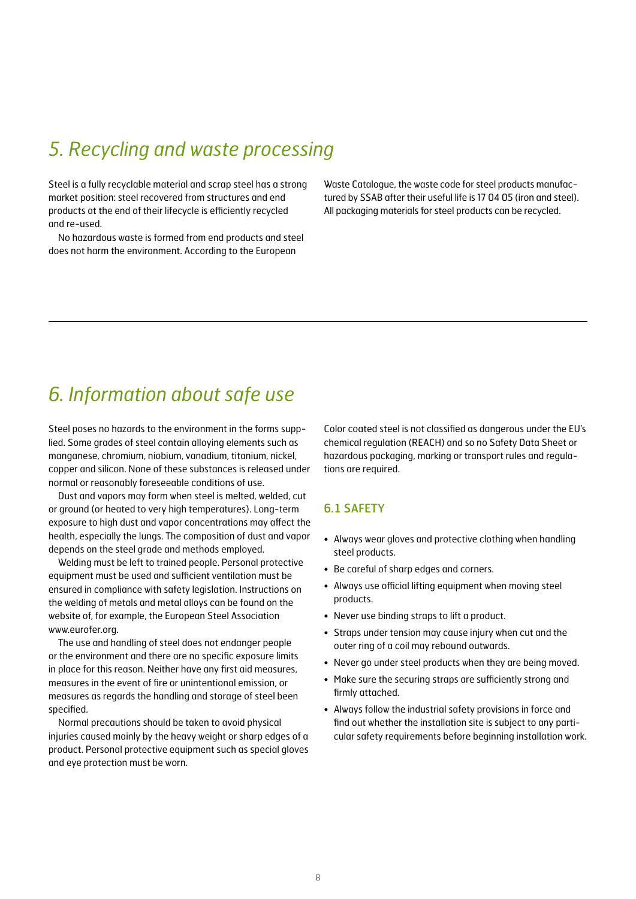# *5. Recycling and waste processing*

Steel is a fully recyclable material and scrap steel has a strong market position: steel recovered from structures and end products at the end of their lifecycle is efficiently recycled and re-used.

No hazardous waste is formed from end products and steel does not harm the environment. According to the European

Waste Catalogue, the waste code for steel products manufactured by SSAB after their useful life is 17 04 05 (iron and steel). All packaging materials for steel products can be recycled.

# *6. Information about safe use*

Steel poses no hazards to the environment in the forms supplied. Some grades of steel contain alloying elements such as manganese, chromium, niobium, vanadium, titanium, nickel, copper and silicon. None of these substances is released under normal or reasonably foreseeable conditions of use.

Dust and vapors may form when steel is melted, welded, cut or ground (or heated to very high temperatures). Long-term exposure to high dust and vapor concentrations may affect the health, especially the lungs. The composition of dust and vapor depends on the steel grade and methods employed.

Welding must be left to trained people. Personal protective equipment must be used and sufficient ventilation must be ensured in compliance with safety legislation. Instructions on the welding of metals and metal alloys can be found on the website of, for example, the European Steel Association www.eurofer.org.

The use and handling of steel does not endanger people or the environment and there are no specific exposure limits in place for this reason. Neither have any first aid measures, measures in the event of fire or unintentional emission, or measures as regards the handling and storage of steel been specified.

Normal precautions should be taken to avoid physical injuries caused mainly by the heavy weight or sharp edges of a product. Personal protective equipment such as special gloves and eye protection must be worn.

Color coated steel is not classified as dangerous under the EU's chemical regulation (REACH) and so no Safety Data Sheet or hazardous packaging, marking or transport rules and regulations are required.

### 6.1 SAFETY

- Always wear gloves and protective clothing when handling steel products.
- Be careful of sharp edges and corners.
- Always use official lifting equipment when moving steel products.
- Never use binding straps to lift a product.
- Straps under tension may cause injury when cut and the outer ring of a coil may rebound outwards.
- Never go under steel products when they are being moved.
- Make sure the securing straps are sufficiently strong and firmly attached.
- Always follow the industrial safety provisions in force and find out whether the installation site is subject to any particular safety requirements before beginning installation work.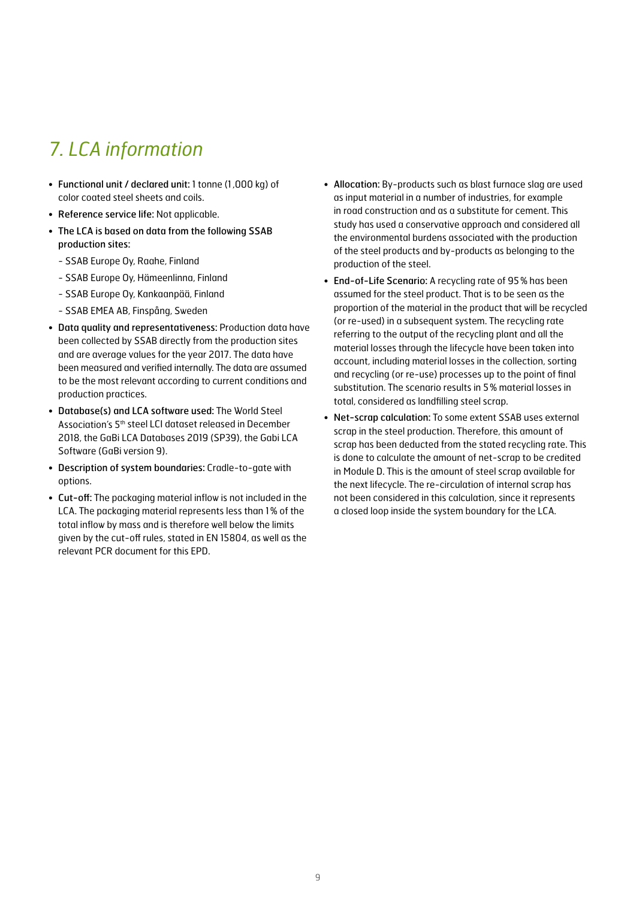# *7. LCA information*

- Functional unit / declared unit: 1 tonne (1,000 kg) of color coated steel sheets and coils.
- Reference service life: Not applicable.
- The LCA is based on data from the following SSAB production sites:
	- SSAB Europe Oy, Raahe, Finland
	- SSAB Europe Oy, Hämeenlinna, Finland
	- SSAB Europe Oy, Kankaanpää, Finland
	- SSAB EMEA AB, Finspång, Sweden
- Data quality and representativeness: Production data have been collected by SSAB directly from the production sites and are average values for the year 2017. The data have been measured and verified internally. The data are assumed to be the most relevant according to current conditions and production practices.
- Database(s) and LCA software used: The World Steel Association's 5th steel LCI dataset released in December 2018, the GaBi LCA Databases 2019 (SP39), the Gabi LCA Software (GaBi version 9).
- Description of system boundaries: Cradle-to-gate with options.
- Cut-off: The packaging material inflow is not included in the LCA. The packaging material represents less than 1% of the total inflow by mass and is therefore well below the limits given by the cut-off rules, stated in EN 15804, as well as the relevant PCR document for this EPD.
- Allocation: By-products such as blast furnace slag are used as input material in a number of industries, for example in road construction and as a substitute for cement. This study has used a conservative approach and considered all the environmental burdens associated with the production of the steel products and by-products as belonging to the production of the steel.
- End-of-Life Scenario: A recycling rate of 95% has been assumed for the steel product. That is to be seen as the proportion of the material in the product that will be recycled (or re-used) in a subsequent system. The recycling rate referring to the output of the recycling plant and all the material losses through the lifecycle have been taken into account, including material losses in the collection, sorting and recycling (or re-use) processes up to the point of final substitution. The scenario results in 5% material losses in total, considered as landfilling steel scrap.
- Net-scrap calculation: To some extent SSAB uses external scrap in the steel production. Therefore, this amount of scrap has been deducted from the stated recycling rate. This is done to calculate the amount of net-scrap to be credited in Module D. This is the amount of steel scrap available for the next lifecycle. The re-circulation of internal scrap has not been considered in this calculation, since it represents a closed loop inside the system boundary for the LCA.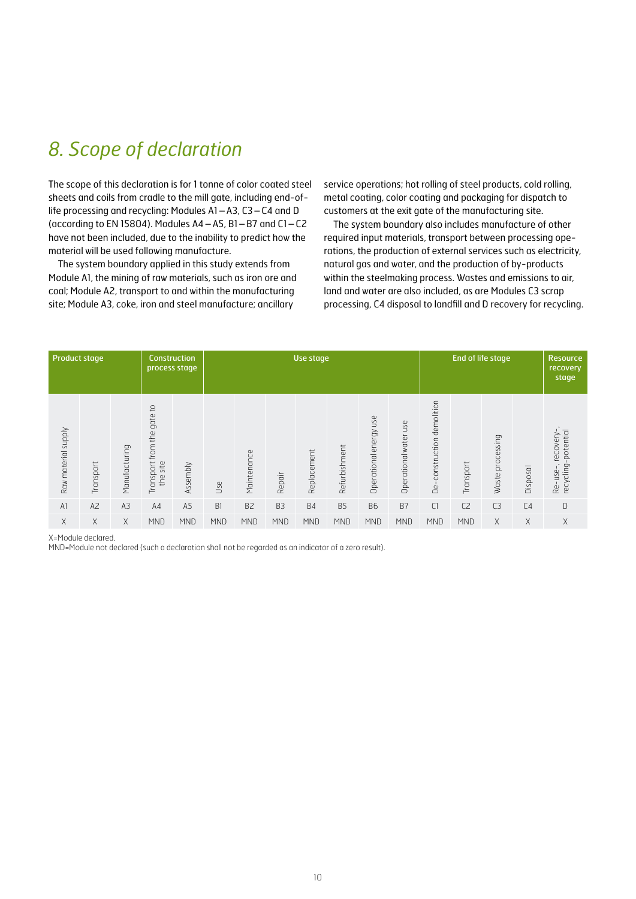# *8. Scope of declaration*

The scope of this declaration is for 1 tonne of color coated steel sheets and coils from cradle to the mill gate, including end-oflife processing and recycling: Modules A1–A3, C3–C4 and D (according to EN 15804). Modules A4–A5, B1–B7 and C1–C2 have not been included, due to the inability to predict how the material will be used following manufacture.

The system boundary applied in this study extends from Module A1, the mining of raw materials, such as iron ore and coal; Module A2, transport to and within the manufacturing site; Module A3, coke, iron and steel manufacture; ancillary

service operations; hot rolling of steel products, cold rolling, metal coating, color coating and packaging for dispatch to customers at the exit gate of the manufacturing site.

The system boundary also includes manufacture of other required input materials, transport between processing operations, the production of external services such as electricity, natural gas and water, and the production of by-products within the steelmaking process. Wastes and emissions to air, land and water are also included, as are Modules C3 scrap processing, C4 disposal to landfill and D recovery for recycling.

|                     | <b>Product stage</b> |                | <b>Construction</b><br>process stage                           |                | Use stage  |                |                |             |                | End of life stage         |                       | <b>Resource</b><br>recovery<br>stage |                |                  |                |                                                                            |
|---------------------|----------------------|----------------|----------------------------------------------------------------|----------------|------------|----------------|----------------|-------------|----------------|---------------------------|-----------------------|--------------------------------------|----------------|------------------|----------------|----------------------------------------------------------------------------|
| Raw material supply | Transport            | Manufacturing  | $\overline{c}$<br>gate<br>from the<br>Transport<br>site<br>the | ssembly<br>⋖   | Use        | Maintenance    | Repair         | Replacement | Refurbishment  | use<br>Operational energy | Operational water use | construction demolition<br>Θë        | Transport      | Waste processing | Disposal       | -potential<br>recovery<br>recycling<br>$\overline{\phantom{a}}$<br>Re-use- |
| AI                  | A <sub>2</sub>       | A <sub>3</sub> | A4                                                             | A <sub>5</sub> | B1         | B <sub>2</sub> | B <sub>3</sub> | <b>B4</b>   | B <sub>5</sub> | <b>B6</b>                 | <b>B7</b>             | C1                                   | C <sub>2</sub> | C <sub>3</sub>   | C <sub>4</sub> | D                                                                          |
| X                   | X                    | X              | <b>MND</b>                                                     | <b>MND</b>     | <b>MND</b> | <b>MND</b>     | <b>MND</b>     | <b>MND</b>  | <b>MND</b>     | <b>MND</b>                | <b>MND</b>            | <b>MND</b>                           | <b>MND</b>     | X                | X              | X                                                                          |

X=Module declared.

MND=Module not declared (such a declaration shall not be regarded as an indicator of a zero result).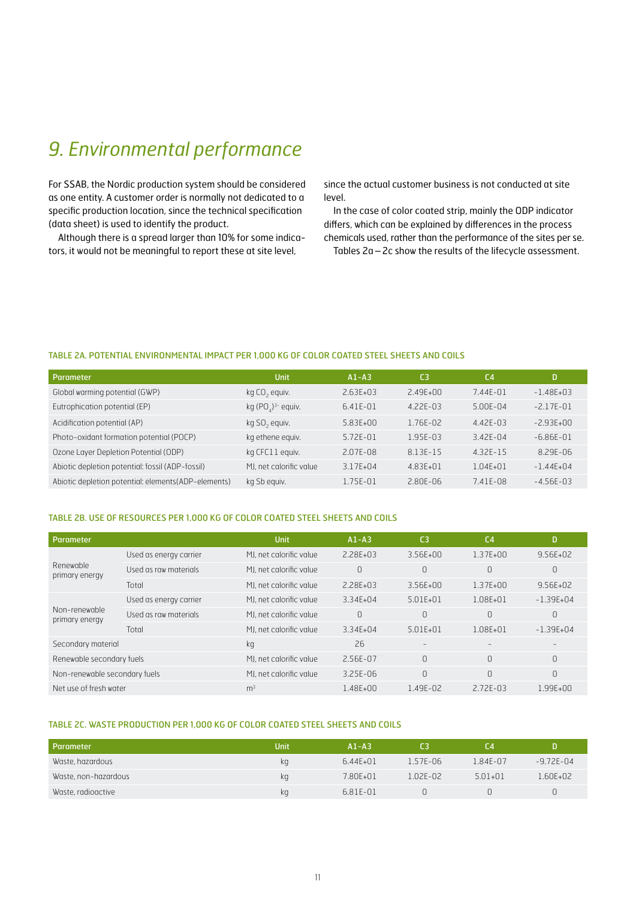# *9. Environmental performance*

For SSAB, the Nordic production system should be considered as one entity. A customer order is normally not dedicated to a specific production location, since the technical specification (data sheet) is used to identify the product.

Although there is a spread larger than 10% for some indicators, it would not be meaningful to report these at site level,

since the actual customer business is not conducted at site level.

In the case of color coated strip, mainly the ODP indicator differs, which can be explained by differences in the process chemicals used, rather than the performance of the sites per se. Tables 2a–2c show the results of the lifecycle assessment.

TABLE 2A. POTENTIAL ENVIRONMENTAL IMPACT PER 1,000 KG OF COLOR COATED STEEL SHEETS AND COILS

| Parameter                                           | <b>Unit</b>               | $A1 - A3$     | C <sub>3</sub> | C <sub>4</sub> | D              |
|-----------------------------------------------------|---------------------------|---------------|----------------|----------------|----------------|
| Global warming potential (GWP)                      | kg CO <sub>2</sub> equiv. | $2.63F + 0.3$ | $2.49F + 00$   | $7.44F - 01$   | $-1.48F + 0.3$ |
| Eutrophication potential (EP)                       | kg $(POA)3$ equiv.        | 6.41E-01      | $4.22F - 0.3$  | $5.00F - 04$   | $-2.17F - 01$  |
| Acidification potential (AP)                        | kg SO <sub>2</sub> equiv. | 5.83E+00      | 1.76E-02       | $4.42F - 0.3$  | $-2.93F + 00$  |
| Photo-oxidant formation potential (POCP)            | kg ethene equiv.          | $5.72F - 01$  | 1.95E-03       | $3.42F - 04$   | $-6.86E - 01$  |
| Ozone Layer Depletion Potential (ODP)               | kg CFC11 equiv.           | $2.07F - 08$  | 8.13F-15       | $4.32F - 15$   | $8.29F - 06$   |
| Abiotic depletion potential: fossil (ADP-fossil)    | MJ, net calorific value   | $3.17F + 04$  | 4.83E+01       | $1.04F + 01$   | $-1.44E + 04$  |
| Abiotic depletion potential: elements(ADP-elements) | kg Sb equiv.              | $1.75F - 01$  | 2.80E-06       | $7.41F - 08$   | $-4.56F - 03$  |

#### TABLE 2B. USE OF RESOURCES PER 1,000 KG OF COLOR COATED STEEL SHEETS AND COILS

| Parameter                       |                        | <b>Unit</b>             | $A1 - A3$     | C <sub>3</sub>           | C <sub>4</sub>           | D                 |
|---------------------------------|------------------------|-------------------------|---------------|--------------------------|--------------------------|-------------------|
|                                 | Used as energy carrier | MJ, net calorific value | $2.28F + 0.3$ | $3.56F + 00$             | $1.37F + 00$             | $9.56F + 02$      |
| Renewable<br>primary energy     | Used as raw materials  | MJ, net calorific value | $\Omega$      | 0                        | $\Omega$                 | 0                 |
|                                 | Total                  | MJ, net calorific value | $2.28F + 0.3$ | $3.56F + 00$             | $1.37F + 00$             | $9.56F + 02$      |
| Non-renewable<br>primary energy | Used as energy carrier | MJ, net calorific value | $3.34F + 04$  | $5.01F + 01$             | $1.08F + 01$             | $-1.39F + 04$     |
|                                 | Used as raw materials  | MJ, net calorific value | $\Omega$      | $\bigcap$                | $\Omega$                 | $\Omega$          |
|                                 | Total                  | MJ, net calorific value | 3.34E+04      | $5.01E + 01$             | $1.08F + 01$             | $-1.39F + 04$     |
| Secondary material              |                        | kg                      | 26            | $\overline{\phantom{a}}$ | $\overline{\phantom{0}}$ | $\qquad \qquad -$ |
| Renewable secondary fuels       |                        | MJ, net calorific value | 2.56F-07      | $\Omega$                 | $\Omega$                 | $\Omega$          |
| Non-renewable secondary fuels   |                        | MJ, net calorific value | 3.25E-06      | $\Omega$                 | $\Omega$                 | $\Omega$          |
| Net use of fresh water          |                        | m <sup>3</sup>          | 1.48E+00      | 1.49E-02                 | $2.72F - 0.3$            | $1.99F + 00$      |

### TABLE 2C. WASTE PRODUCTION PER 1,000 KG OF COLOR COATED STEEL SHEETS AND COILS

| Parameter            | Unit | $A1 - A3$    | C3           | ΓA          |               |
|----------------------|------|--------------|--------------|-------------|---------------|
| Waste, hazardous     | ka   | $6.44E + 01$ | 1.57E-06     | 1.84F-07    | $-9.72F - 04$ |
| Waste, non-hazardous | ka   | 7.80E+01     | $1.02F - 02$ | $5.01 + 01$ | .60F+02       |
| Waste, radioactive   | kq   | 6.81E-01     |              |             |               |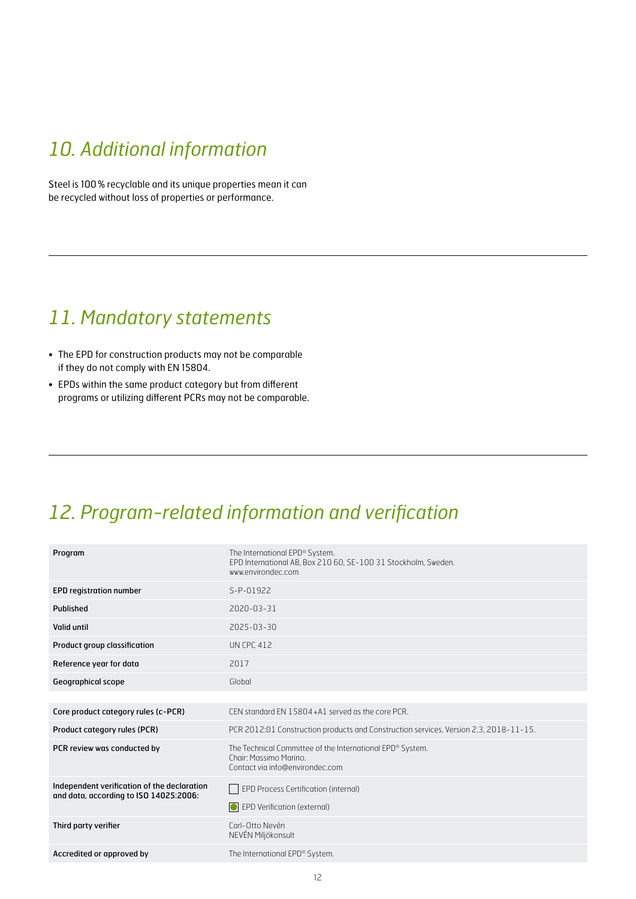# *10. Additional information*

Steel is 100% recyclable and its unique properties mean it can be recycled without loss of properties or performance.

# *11. Mandatory statements*

- The EPD for construction products may not be comparable if they do not comply with EN 15804.
- EPDs within the same product category but from different programs or utilizing different PCRs may not be comparable.

# *12. Program-related information and verification*

| Program                                                                               | The International EPD® System.<br>EPD International AB, Box 210 60, SE-100 31 Stockholm, Sweden.<br>www.environdec.com |
|---------------------------------------------------------------------------------------|------------------------------------------------------------------------------------------------------------------------|
| <b>EPD registration number</b>                                                        | S-P-01922                                                                                                              |
| Published                                                                             | 2020-03-31                                                                                                             |
| Valid until                                                                           | 2025-03-30                                                                                                             |
| Product group classification                                                          | <b>UN CPC 412</b>                                                                                                      |
| Reference year for data                                                               | 2017                                                                                                                   |
| Geographical scope                                                                    | Global                                                                                                                 |
|                                                                                       |                                                                                                                        |
| Core product category rules (c-PCR)                                                   | CEN standard EN 15804+A1 served as the core PCR.                                                                       |
| Product category rules (PCR)                                                          | PCR 2012:01 Construction products and Construction services. Version 2.3, 2018-11-15.                                  |
| PCR review was conducted by                                                           | The Technical Committee of the International EPD® System.<br>Chair: Massimo Marino.<br>Contact via info@environdec.com |
| Independent verification of the declaration<br>and data, according to ISO 14025:2006: | EPD Process Certification (internal)<br><b>O</b> EPD Verification (external)                                           |
| Third party verifier                                                                  | Carl-Otto Nevén<br>NEVÉN Miljökonsult                                                                                  |
| Accredited or approved by                                                             | The International EPD® System.                                                                                         |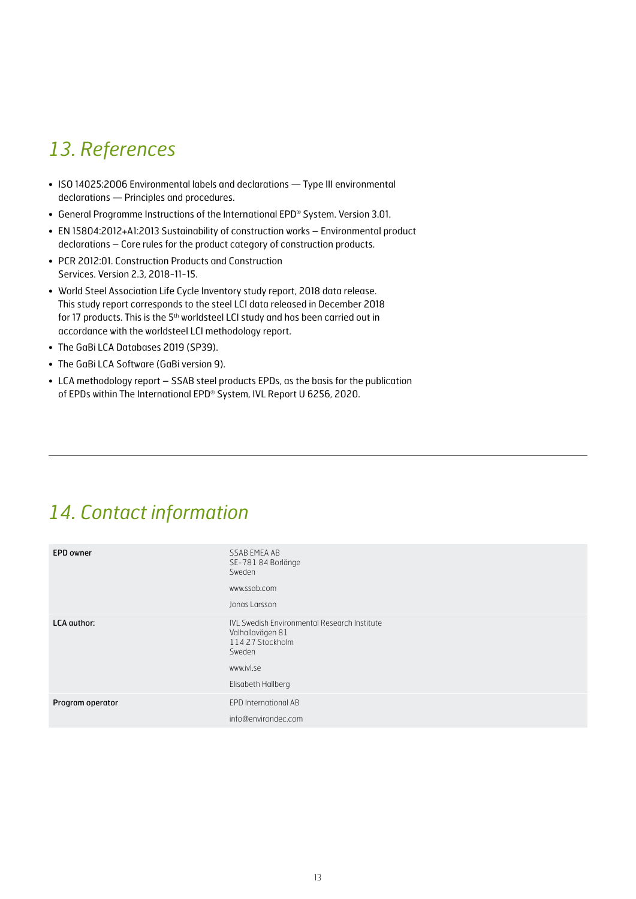# *13. References*

- ISO 14025:2006 Environmental labels and declarations Type III environmental declarations — Principles and procedures.
- General Programme Instructions of the International EPD® System. Version 3.01.
- EN 15804:2012+A1:2013 Sustainability of construction works Environmental product declarations – Core rules for the product category of construction products.
- PCR 2012:01. Construction Products and Construction Services. Version 2.3, 2018-11-15.
- World Steel Association Life Cycle Inventory study report, 2018 data release. This study report corresponds to the steel LCI data released in December 2018 for 17 products. This is the 5<sup>th</sup> worldsteel LCI study and has been carried out in accordance with the worldsteel LCI methodology report.
- The GaBi LCA Databases 2019 (SP39).
- The GaBi LCA Software (GaBi version 9).
- LCA methodology report SSAB steel products EPDs, as the basis for the publication of EPDs within The International EPD® System, IVL Report U 6256, 2020.

# *14. Contact information*

| <b>EPD</b> owner   | SSAB EMEA AB<br>SE-781 84 Borlänge<br>Sweden<br>www.ssab.com<br>Jonas Larsson                                                             |
|--------------------|-------------------------------------------------------------------------------------------------------------------------------------------|
| <b>LCA</b> author: | <b>IVL Swedish Environmental Research Institute</b><br>Valhallavägen 81<br>114 27 Stockholm<br>Sweden<br>www.ivl.se<br>Elisabeth Hallberg |
| Program operator   | EPD International AB<br>info@environdec.com                                                                                               |
|                    |                                                                                                                                           |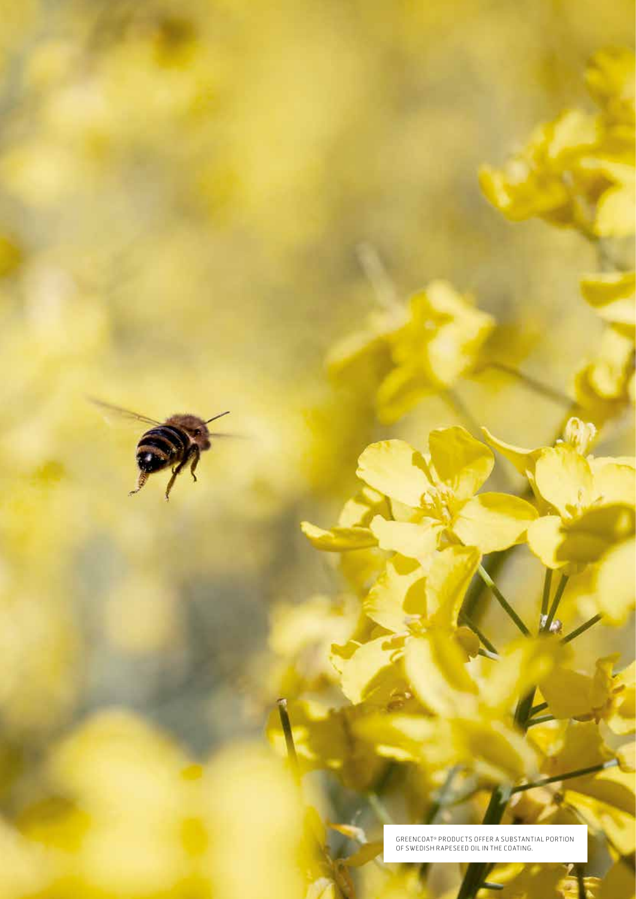GREENCOAT® PRODUC TS OFFER A SUBSTANTIAL PORTION OF SWEDISH RAPESEED OIL IN THE COATING.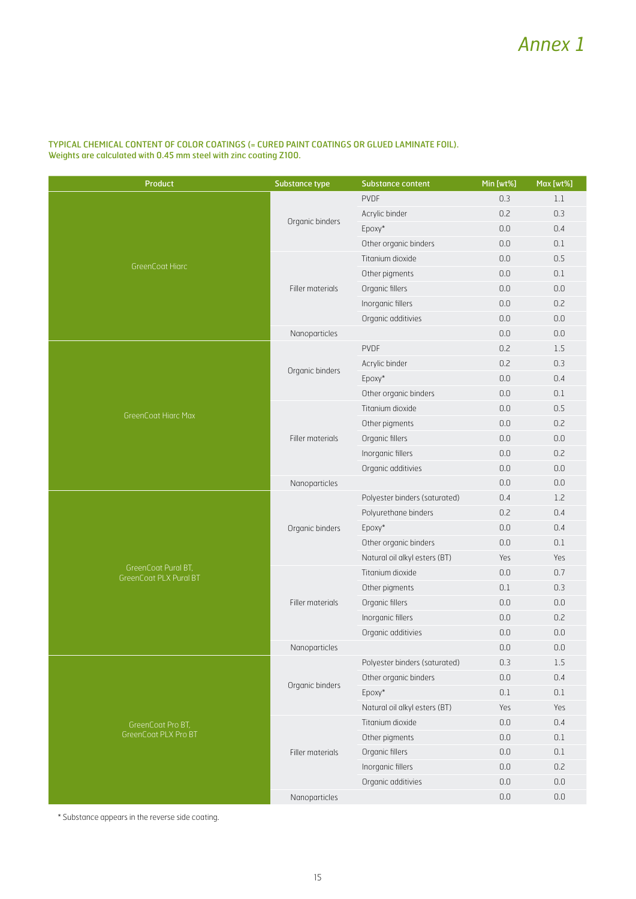#### TYPICAL CHEMICAL CONTENT OF COLOR COATINGS (= CURED PAINT COATINGS OR GLUED LAMINATE FOIL). Weights are calculated with 0.45 mm steel with zinc coating Z100.

| <b>Product</b>                                       | <b>Substance type</b> | <b>Substance content</b>      | Min [wt%] | Max [wt%] |
|------------------------------------------------------|-----------------------|-------------------------------|-----------|-----------|
|                                                      |                       | <b>PVDF</b>                   | 0.3       | 1.1       |
|                                                      |                       | Acrylic binder                | 0.2       | 0.3       |
|                                                      | Organic binders       | Epoxy*                        | 0.0       | 0.4       |
|                                                      |                       | Other organic binders         | 0.0       | $0.1\,$   |
|                                                      |                       | Titanium dioxide              | 0.0       | 0.5       |
| <b>GreenCoat Hiarc</b>                               |                       | Other pigments                | 0.0       | 0.1       |
|                                                      | Filler materials      | Organic fillers               | $0.0\,$   | $0.0\,$   |
|                                                      |                       | Inorganic fillers             | 0.0       | 0.2       |
|                                                      |                       | Organic additivies            | 0.0       | $0.0\,$   |
|                                                      | Nanoparticles         |                               | $0.0\,$   | $0.0\,$   |
|                                                      |                       | <b>PVDF</b>                   | 0.2       | 1.5       |
|                                                      | Organic binders       | Acrylic binder                | 0.2       | 0.3       |
|                                                      |                       | Epoxy*                        | 0.0       | 0.4       |
|                                                      |                       | Other organic binders         | 0.0       | 0.1       |
| <b>GreenCoat Hiarc Max</b>                           |                       | Titanium dioxide              | 0.0       | 0.5       |
|                                                      | Filler materials      | Other pigments                | 0.0       | 0.2       |
|                                                      |                       | Organic fillers               | 0.0       | 0.0       |
|                                                      |                       | Inorganic fillers             | 0.0       | 0.2       |
|                                                      |                       | Organic additivies            | 0.0       | $0.0\,$   |
|                                                      | Nanoparticles         |                               | 0.0       | 0.0       |
|                                                      |                       | Polyester binders (saturated) | 0.4       | 1.2       |
|                                                      |                       | Polyurethane binders          | 0.2       | 0.4       |
|                                                      | Organic binders       | Epoxy*                        | 0.0       | 0.4       |
|                                                      |                       | Other organic binders         | 0.0       | 0.1       |
|                                                      |                       | Natural oil alkyl esters (BT) | Yes       | Yes       |
| GreenCoat Pural BT,<br><b>GreenCoat PLX Pural BT</b> |                       | Titanium dioxide              | 0.0       | 0.7       |
|                                                      |                       | Other pigments                | 0.1       | 0.3       |
|                                                      | Filler materials      | Organic fillers               | 0.0       | $0.0\,$   |
|                                                      |                       | Inorganic fillers             | 0.0       | 0.2       |
|                                                      |                       | Organic additivies            | 0.0       | $0.0\,$   |
|                                                      | Nanoparticles         |                               | 0.0       | 0.0       |
|                                                      |                       | Polyester binders (saturated) | 0.3       | 1.5       |
|                                                      | Organic binders       | Other organic binders         | 0.0       | 0.4       |
|                                                      |                       | Epoxy*                        | $0.1\,$   | 0.1       |
|                                                      |                       | Natural oil alkyl esters (BT) | Yes       | Yes       |
| GreenCoat Pro BT,                                    |                       | Titanium dioxide              | 0.0       | 0.4       |
| GreenCoat PLX Pro BT                                 |                       | Other pigments                | $0.0\,$   | 0.1       |
|                                                      | Filler materials      | Organic fillers               | 0.0       | $0.1\,$   |
|                                                      |                       | Inorganic fillers             | 0.0       | 0.2       |
|                                                      |                       | Organic additivies            | $0.0\,$   | $0.0\,$   |
|                                                      | Nanoparticles         |                               | $0.0\,$   | $0.0\,$   |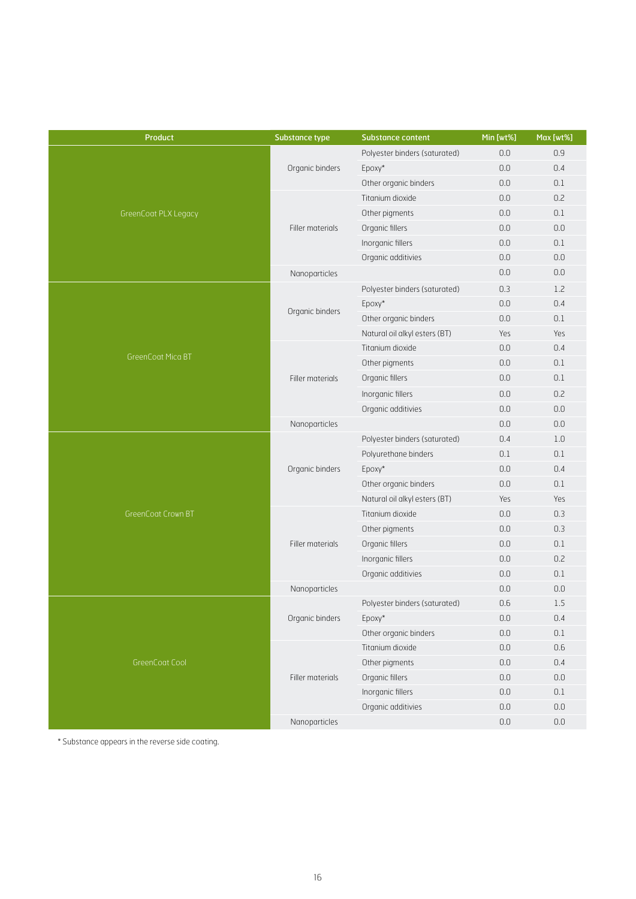| <b>Product</b>       | <b>Substance type</b> | <b>Substance content</b>      | Min [wt%] | Max [wt%] |
|----------------------|-----------------------|-------------------------------|-----------|-----------|
|                      |                       | Polyester binders (saturated) | 0.0       | 0.9       |
|                      | Organic binders       | Epoxy*                        | 0.0       | 0.4       |
|                      |                       | Other organic binders         | 0.0       | 0.1       |
|                      |                       | Titanium dioxide              | 0.0       | 0.2       |
| GreenCoat PLX Legacy |                       | Other pigments                | 0.0       | 0.1       |
|                      | Filler materials      | Organic fillers               | $0.0\,$   | $0.0\,$   |
|                      |                       | Inorganic fillers             | 0.0       | 0.1       |
|                      |                       | Organic additivies            | 0.0       | 0.0       |
|                      | Nanoparticles         |                               | 0.0       | 0.0       |
|                      |                       | Polyester binders (saturated) | 0.3       | 1.2       |
|                      |                       | Epoxy*                        | 0.0       | 0.4       |
|                      | Organic binders       | Other organic binders         | 0.0       | 0.1       |
|                      |                       | Natural oil alkyl esters (BT) | Yes       | Yes       |
|                      |                       | Titanium dioxide              | 0.0       | 0.4       |
| GreenCoat Mica BT    |                       | Other pigments                | 0.0       | 0.1       |
|                      | Filler materials      | Organic fillers               | 0.0       | 0.1       |
|                      |                       | Inorganic fillers             | 0.0       | 0.2       |
|                      |                       | Organic additivies            | $0.0\,$   | $0.0\,$   |
|                      | Nanoparticles         |                               | 0.0       | 0.0       |
|                      |                       | Polyester binders (saturated) | 0.4       | 1.0       |
|                      |                       | Polyurethane binders          | 0.1       | 0.1       |
|                      | Organic binders       | Epoxy*                        | 0.0       | 0.4       |
|                      |                       | Other organic binders         | 0.0       | 0.1       |
|                      |                       | Natural oil alkyl esters (BT) | Yes       | Yes       |
| GreenCoat Crown BT   |                       | Titanium dioxide              | 0.0       | 0.3       |
|                      |                       | Other pigments                | 0.0       | 0.3       |
|                      | Filler materials      | Organic fillers               | 0.0       | 0.1       |
|                      |                       | Inorganic fillers             | 0.0       | 0.2       |
|                      |                       | Organic additivies            | $0.0\,$   | 0.1       |
|                      | Nanoparticles         |                               | 0.0       | 0.0       |
|                      |                       | Polyester binders (saturated) | 0.6       | 1.5       |
|                      | Organic binders       | Epoxy*                        | $0.0\,$   | 0.4       |
|                      |                       | Other organic binders         | $0.0\,$   | $0.1\,$   |
|                      |                       | Titanium dioxide              | $0.0\,$   | 0.6       |
| GreenCoat Cool       |                       | Other pigments                | 0.0       | 0.4       |
|                      | Filler materials      | Organic fillers               | $0.0\,$   | $0.0\,$   |
|                      |                       | Inorganic fillers             | $0.0\,$   | $0.1\,$   |
|                      |                       | Organic additivies            | 0.0       | $0.0\,$   |
|                      | Nanoparticles         |                               | $0.0\,$   | $0.0\,$   |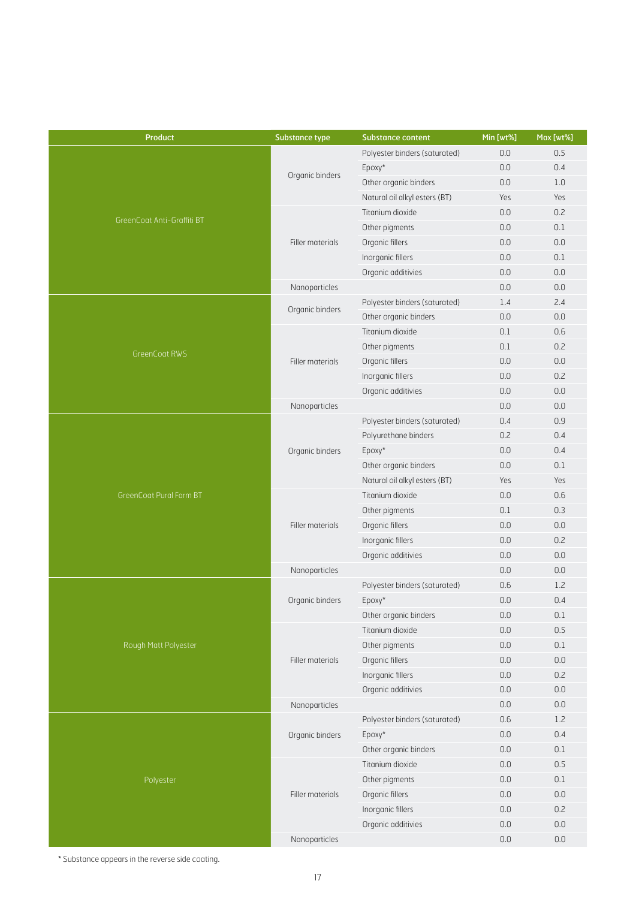| Product                    | <b>Substance type</b> | Substance content             | Min [wt%] | Max [wt%] |
|----------------------------|-----------------------|-------------------------------|-----------|-----------|
|                            |                       | Polyester binders (saturated) | 0.0       | 0.5       |
|                            |                       | Epoxy*                        | 0.0       | 0.4       |
| GreenCoat Anti-Graffiti BT | Organic binders       | Other organic binders         | 0.0       | 1.0       |
|                            |                       | Natural oil alkyl esters (BT) | Yes       | Yes       |
|                            |                       | Titanium dioxide              | 0.0       | 0.2       |
|                            |                       | Other pigments                | 0.0       | 0.1       |
|                            | Filler materials      | Organic fillers               | 0.0       | $0.0\,$   |
|                            |                       | Inorganic fillers             | 0.0       | 0.1       |
|                            |                       | Organic additivies            | 0.0       | 0.0       |
|                            | Nanoparticles         |                               | 0.0       | $0.0\,$   |
|                            |                       | Polyester binders (saturated) | 1.4       | 2.4       |
|                            | Organic binders       | Other organic binders         | 0.0       | 0.0       |
|                            |                       | Titanium dioxide              | 0.1       | 0.6       |
|                            |                       | Other pigments                | 0.1       | 0.2       |
| <b>GreenCoat RWS</b>       | Filler materials      | Organic fillers               | 0.0       | 0.0       |
|                            |                       | Inorganic fillers             | 0.0       | 0.2       |
|                            |                       | Organic additivies            | 0.0       | 0.0       |
|                            | Nanoparticles         |                               | 0.0       | 0.0       |
|                            |                       | Polyester binders (saturated) | 0.4       | 0.9       |
|                            | Organic binders       | Polyurethane binders          | 0.2       | 0.4       |
|                            |                       | Epoxy*                        | 0.0       | 0.4       |
|                            |                       | Other organic binders         | 0.0       | 0.1       |
|                            |                       | Natural oil alkyl esters (BT) | Yes       | Yes       |
| GreenCoat Pural Farm BT    |                       | Titanium dioxide              | 0.0       | 0.6       |
|                            |                       | Other pigments                | 0.1       | 0.3       |
|                            | Filler materials      | Organic fillers               | 0.0       | 0.0       |
|                            |                       | Inorganic fillers             | 0.0       | 0.2       |
|                            |                       | Organic additivies            | 0.0       | 0.0       |
|                            | Nanoparticles         |                               | 0.0       | 0.0       |
|                            |                       | Polyester binders (saturated) | 0.6       | 1.2       |
|                            | Organic binders       | Epoxy*                        | 0.0       | 0.4       |
|                            |                       | Other organic binders         | 0.0       | $0.1\,$   |
|                            |                       | Titanium dioxide              | 0.0       | 0.5       |
| Rough Matt Polyester       |                       | Other pigments                | 0.0       | 0.1       |
|                            | Filler materials      | Organic fillers               | $0.0\,$   | $0.0\,$   |
|                            |                       | Inorganic fillers             | 0.0       | 0.2       |
|                            |                       | Organic additivies            | $0.0\,$   | $0.0\,$   |
|                            | Nanoparticles         |                               | $0.0\,$   | $0.0\,$   |
|                            |                       | Polyester binders (saturated) | 0.6       | 1.2       |
|                            | Organic binders       | Epoxy*                        | $0.0\,$   | 0.4       |
|                            |                       | Other organic binders         | $0.0\,$   | $0.1\,$   |
|                            |                       | Titanium dioxide              | 0.0       | 0.5       |
| Polyester                  |                       | Other pigments                | 0.0       | $0.1\,$   |
|                            | Filler materials      | Organic fillers               | $0.0\,$   | $0.0\,$   |
|                            |                       | Inorganic fillers             | 0.0       | 0.2       |
|                            |                       | Organic additivies            | 0.0       | $0.0\,$   |
|                            | Nanoparticles         |                               | $0.0\,$   | $0.0\,$   |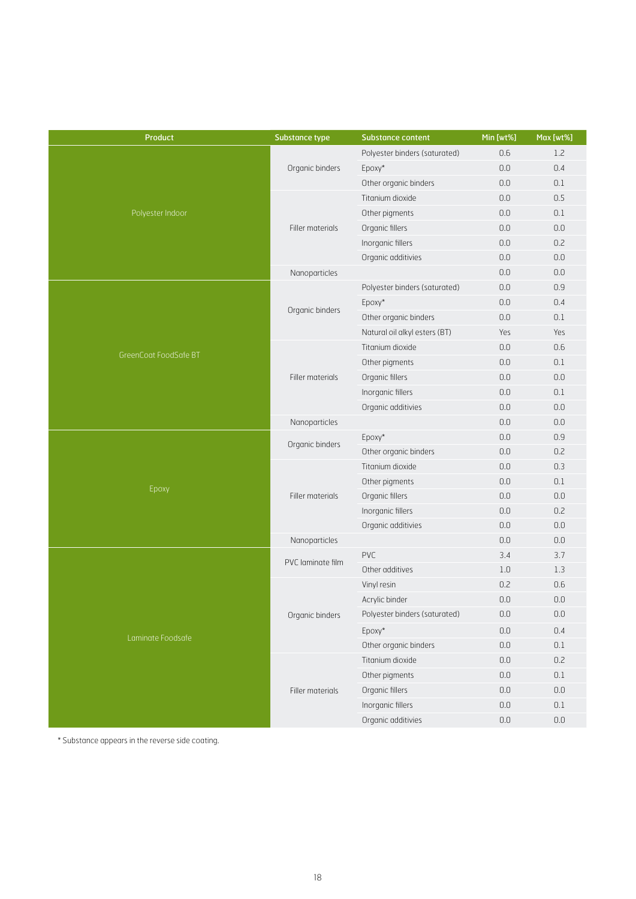| Product               | Substance type    | <b>Substance content</b>      | Min [wt%] | Max [wt%] |
|-----------------------|-------------------|-------------------------------|-----------|-----------|
|                       |                   | Polyester binders (saturated) | 0.6       | 1.2       |
|                       | Organic binders   | Epoxy*                        | 0.0       | 0.4       |
|                       |                   | Other organic binders         | 0.0       | 0.1       |
|                       |                   | Titanium dioxide              | 0.0       | 0.5       |
| Polyester Indoor      |                   | Other pigments                | 0.0       | 0.1       |
|                       | Filler materials  | Organic fillers               | 0.0       | $0.0\,$   |
|                       |                   | Inorganic fillers             | 0.0       | 0.2       |
|                       |                   | Organic additivies            | 0.0       | 0.0       |
|                       | Nanoparticles     |                               | 0.0       | $0.0\,$   |
|                       |                   | Polyester binders (saturated) | 0.0       | 0.9       |
|                       | Organic binders   | Epoxy*                        | 0.0       | 0.4       |
|                       |                   | Other organic binders         | 0.0       | 0.1       |
|                       |                   | Natural oil alkyl esters (BT) | Yes       | Yes       |
| GreenCoat FoodSafe BT |                   | Titanium dioxide              | 0.0       | 0.6       |
|                       |                   | Other pigments                | 0.0       | 0.1       |
|                       | Filler materials  | Organic fillers               | 0.0       | 0.0       |
|                       |                   | Inorganic fillers             | 0.0       | 0.1       |
|                       |                   | Organic additivies            | 0.0       | 0.0       |
|                       | Nanoparticles     |                               | 0.0       | 0.0       |
|                       | Organic binders   | Epoxy*                        | 0.0       | 0.9       |
|                       |                   | Other organic binders         | 0.0       | 0.2       |
|                       |                   | Titanium dioxide              | 0.0       | 0.3       |
| Epoxy                 |                   | Other pigments                | 0.0       | 0.1       |
|                       | Filler materials  | Organic fillers               | 0.0       | 0.0       |
|                       |                   | Inorganic fillers             | 0.0       | 0.2       |
|                       |                   | Organic additivies            | 0.0       | 0.0       |
|                       | Nanoparticles     |                               | 0.0       | 0.0       |
|                       | PVC laminate film | PVC                           | 3.4       | 3.7       |
|                       |                   | Other additives               | 1.0       | 1.3       |
|                       |                   | Vinyl resin                   | 0.2       | 0.6       |
|                       |                   | Acrylic binder                | 0.0       | 0.0       |
|                       | Organic binders   | Polyester binders (saturated) | $0.0\,$   | $0.0\,$   |
| Laminate Foodsafe     |                   | Epoxy*                        | 0.0       | 0.4       |
|                       |                   | Other organic binders         | $0.0\,$   | 0.1       |
|                       |                   | Titanium dioxide              | $0.0\,$   | 0.2       |
|                       |                   | Other pigments                | 0.0       | 0.1       |
|                       | Filler materials  | Organic fillers               | $0.0\,$   | $0.0\,$   |
|                       |                   | Inorganic fillers             | $0.0\,$   | 0.1       |
|                       |                   | Organic additivies            | $0.0\,$   | $0.0\,$   |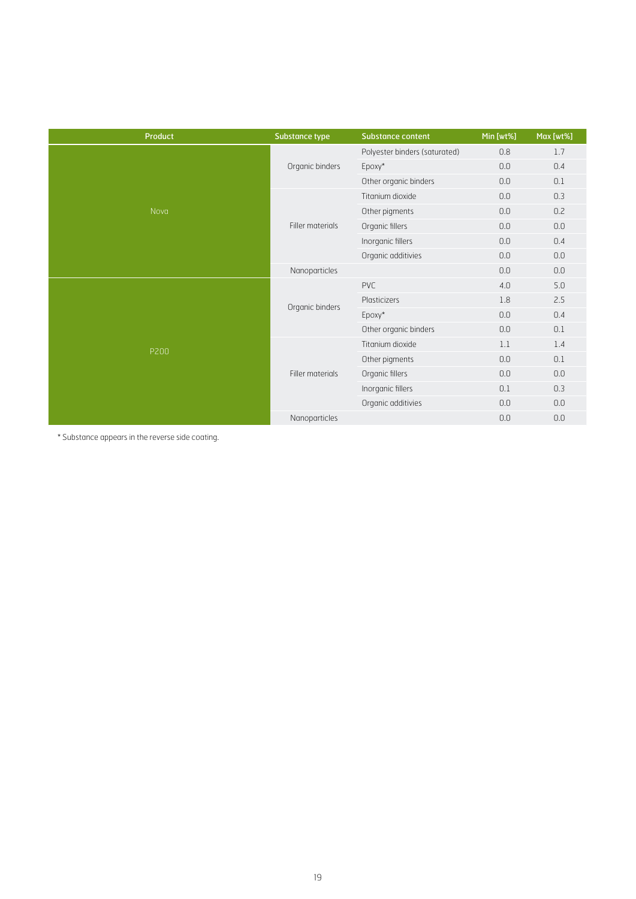| <b>Product</b> | <b>Substance type</b> | <b>Substance content</b>      | Min [wt%] | Max [wt%] |
|----------------|-----------------------|-------------------------------|-----------|-----------|
| Nova           | Organic binders       | Polyester binders (saturated) | 0.8       | 1.7       |
|                |                       | Epoxy*                        | 0.0       | 0.4       |
|                |                       | Other organic binders         | 0.0       | 0.1       |
|                | Filler materials      | Titanium dioxide              | 0.0       | 0.3       |
|                |                       | Other pigments                | 0.0       | 0.2       |
|                |                       | Organic fillers               | 0.0       | 0.0       |
|                |                       | Inorganic fillers             | 0.0       | 0.4       |
|                |                       | Organic additivies            | 0.0       | 0.0       |
|                | Nanoparticles         |                               | 0.0       | 0.0       |
| P200           | Organic binders       | PVC                           | 4.0       | 5.0       |
|                |                       | Plasticizers                  | 1.8       | 2.5       |
|                |                       | Epoxy*                        | 0.0       | 0.4       |
|                |                       | Other organic binders         | 0.0       | 0.1       |
|                | Filler materials      | Titanium dioxide              | 1.1       | 1.4       |
|                |                       | Other pigments                | $0.0\,$   | 0.1       |
|                |                       | Organic fillers               | 0.0       | 0.0       |
|                |                       | Inorganic fillers             | 0.1       | 0.3       |
|                |                       | Organic additivies            | 0.0       | 0.0       |
|                | Nanoparticles         |                               | $0.0\,$   | 0.0       |